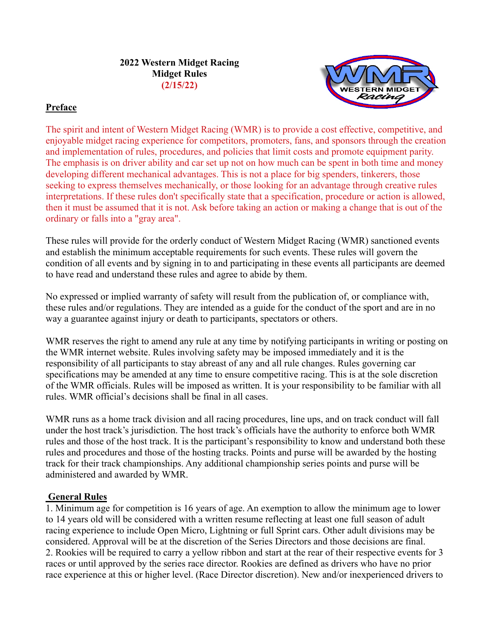**2022 Western Midget Racing Midget Rules (2/15/22)**



### **Preface**

The spirit and intent of Western Midget Racing (WMR) is to provide a cost effective, competitive, and enjoyable midget racing experience for competitors, promoters, fans, and sponsors through the creation and implementation of rules, procedures, and policies that limit costs and promote equipment parity. The emphasis is on driver ability and car set up not on how much can be spent in both time and money developing different mechanical advantages. This is not a place for big spenders, tinkerers, those seeking to express themselves mechanically, or those looking for an advantage through creative rules interpretations. If these rules don't specifically state that a specification, procedure or action is allowed, then it must be assumed that it is not. Ask before taking an action or making a change that is out of the ordinary or falls into a "gray area".

These rules will provide for the orderly conduct of Western Midget Racing (WMR) sanctioned events and establish the minimum acceptable requirements for such events. These rules will govern the condition of all events and by signing in to and participating in these events all participants are deemed to have read and understand these rules and agree to abide by them.

No expressed or implied warranty of safety will result from the publication of, or compliance with, these rules and/or regulations. They are intended as a guide for the conduct of the sport and are in no way a guarantee against injury or death to participants, spectators or others.

WMR reserves the right to amend any rule at any time by notifying participants in writing or posting on the WMR internet website. Rules involving safety may be imposed immediately and it is the responsibility of all participants to stay abreast of any and all rule changes. Rules governing car specifications may be amended at any time to ensure competitive racing. This is at the sole discretion of the WMR officials. Rules will be imposed as written. It is your responsibility to be familiar with all rules. WMR official's decisions shall be final in all cases.

WMR runs as a home track division and all racing procedures, line ups, and on track conduct will fall under the host track's jurisdiction. The host track's officials have the authority to enforce both WMR rules and those of the host track. It is the participant's responsibility to know and understand both these rules and procedures and those of the hosting tracks. Points and purse will be awarded by the hosting track for their track championships. Any additional championship series points and purse will be administered and awarded by WMR.

### **General Rules**

1. Minimum age for competition is 16 years of age. An exemption to allow the minimum age to lower to 14 years old will be considered with a written resume reflecting at least one full season of adult racing experience to include Open Micro, Lightning or full Sprint cars. Other adult divisions may be considered. Approval will be at the discretion of the Series Directors and those decisions are final. 2. Rookies will be required to carry a yellow ribbon and start at the rear of their respective events for 3 races or until approved by the series race director. Rookies are defined as drivers who have no prior race experience at this or higher level. (Race Director discretion). New and/or inexperienced drivers to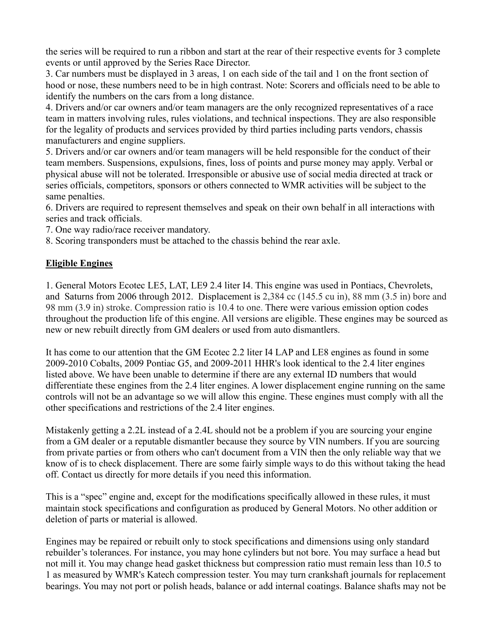the series will be required to run a ribbon and start at the rear of their respective events for 3 complete events or until approved by the Series Race Director.

3. Car numbers must be displayed in 3 areas, 1 on each side of the tail and 1 on the front section of hood or nose, these numbers need to be in high contrast. Note: Scorers and officials need to be able to identify the numbers on the cars from a long distance.

4. Drivers and/or car owners and/or team managers are the only recognized representatives of a race team in matters involving rules, rules violations, and technical inspections. They are also responsible for the legality of products and services provided by third parties including parts vendors, chassis manufacturers and engine suppliers.

5. Drivers and/or car owners and/or team managers will be held responsible for the conduct of their team members. Suspensions, expulsions, fines, loss of points and purse money may apply. Verbal or physical abuse will not be tolerated. Irresponsible or abusive use of social media directed at track or series officials, competitors, sponsors or others connected to WMR activities will be subject to the same penalties.

6. Drivers are required to represent themselves and speak on their own behalf in all interactions with series and track officials.

7. One way radio/race receiver mandatory.

8. Scoring transponders must be attached to the chassis behind the rear axle.

### **Eligible Engines**

1. General Motors Ecotec LE5, LAT, LE9 2.4 liter I4. This engine was used in Pontiacs, Chevrolets, and Saturns from 2006 through 2012. Displacement is 2,384 cc (145.5 cu in), 88 mm (3.5 in) bore and 98 mm (3.9 in) stroke. Compression ratio is 10.4 to one. There were various emission option codes throughout the production life of this engine. All versions are eligible. These engines may be sourced as new or new rebuilt directly from GM dealers or used from auto dismantlers.

It has come to our attention that the GM Ecotec 2.2 liter I4 LAP and LE8 engines as found in some 2009-2010 Cobalts, 2009 Pontiac G5, and 2009-2011 HHR's look identical to the 2.4 liter engines listed above. We have been unable to determine if there are any external ID numbers that would differentiate these engines from the 2.4 liter engines. A lower displacement engine running on the same controls will not be an advantage so we will allow this engine. These engines must comply with all the other specifications and restrictions of the 2.4 liter engines.

Mistakenly getting a 2.2L instead of a 2.4L should not be a problem if you are sourcing your engine from a GM dealer or a reputable dismantler because they source by VIN numbers. If you are sourcing from private parties or from others who can't document from a VIN then the only reliable way that we know of is to check displacement. There are some fairly simple ways to do this without taking the head off. Contact us directly for more details if you need this information.

This is a "spec" engine and, except for the modifications specifically allowed in these rules, it must maintain stock specifications and configuration as produced by General Motors. No other addition or deletion of parts or material is allowed.

Engines may be repaired or rebuilt only to stock specifications and dimensions using only standard rebuilder's tolerances. For instance, you may hone cylinders but not bore. You may surface a head but not mill it. You may change head gasket thickness but compression ratio must remain less than 10.5 to 1 as measured by WMR's Katech compression tester. You may turn crankshaft journals for replacement bearings. You may not port or polish heads, balance or add internal coatings. Balance shafts may not be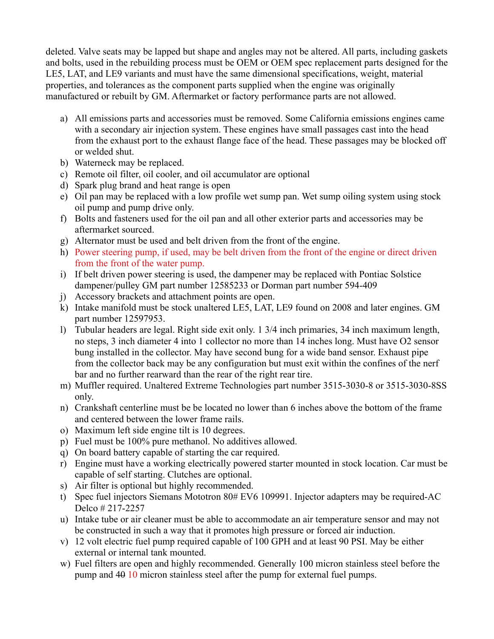deleted. Valve seats may be lapped but shape and angles may not be altered. All parts, including gaskets and bolts, used in the rebuilding process must be OEM or OEM spec replacement parts designed for the LE5, LAT, and LE9 variants and must have the same dimensional specifications, weight, material properties, and tolerances as the component parts supplied when the engine was originally manufactured or rebuilt by GM. Aftermarket or factory performance parts are not allowed.

- a) All emissions parts and accessories must be removed. Some California emissions engines came with a secondary air injection system. These engines have small passages cast into the head from the exhaust port to the exhaust flange face of the head. These passages may be blocked off or welded shut.
- b) Waterneck may be replaced.
- c) Remote oil filter, oil cooler, and oil accumulator are optional
- d) Spark plug brand and heat range is open
- e) Oil pan may be replaced with a low profile wet sump pan. Wet sump oiling system using stock oil pump and pump drive only.
- f) Bolts and fasteners used for the oil pan and all other exterior parts and accessories may be aftermarket sourced.
- g) Alternator must be used and belt driven from the front of the engine.
- h) Power steering pump, if used, may be belt driven from the front of the engine or direct driven from the front of the water pump.
- i) If belt driven power steering is used, the dampener may be replaced with Pontiac Solstice dampener/pulley GM part number 12585233 or Dorman part number 594-409
- j) Accessory brackets and attachment points are open.
- k) Intake manifold must be stock unaltered LE5, LAT, LE9 found on 2008 and later engines. GM part number 12597953.
- l) Tubular headers are legal. Right side exit only. 1 3/4 inch primaries, 34 inch maximum length, no steps, 3 inch diameter 4 into 1 collector no more than 14 inches long. Must have O2 sensor bung installed in the collector. May have second bung for a wide band sensor. Exhaust pipe from the collector back may be any configuration but must exit within the confines of the nerf bar and no further rearward than the rear of the right rear tire.
- m) Muffler required. Unaltered Extreme Technologies part number 3515-3030-8 or 3515-3030-8SS only.
- n) Crankshaft centerline must be be located no lower than 6 inches above the bottom of the frame and centered between the lower frame rails.
- o) Maximum left side engine tilt is 10 degrees.
- p) Fuel must be 100% pure methanol. No additives allowed.
- q) On board battery capable of starting the car required.
- r) Engine must have a working electrically powered starter mounted in stock location. Car must be capable of self starting. Clutches are optional.
- s) Air filter is optional but highly recommended.
- t) Spec fuel injectors Siemans Mototron 80# EV6 109991. Injector adapters may be required-AC Delco # 217-2257
- u) Intake tube or air cleaner must be able to accommodate an air temperature sensor and may not be constructed in such a way that it promotes high pressure or forced air induction.
- v) 12 volt electric fuel pump required capable of 100 GPH and at least 90 PSI. May be either external or internal tank mounted.
- w) Fuel filters are open and highly recommended. Generally 100 micron stainless steel before the pump and 40 10 micron stainless steel after the pump for external fuel pumps.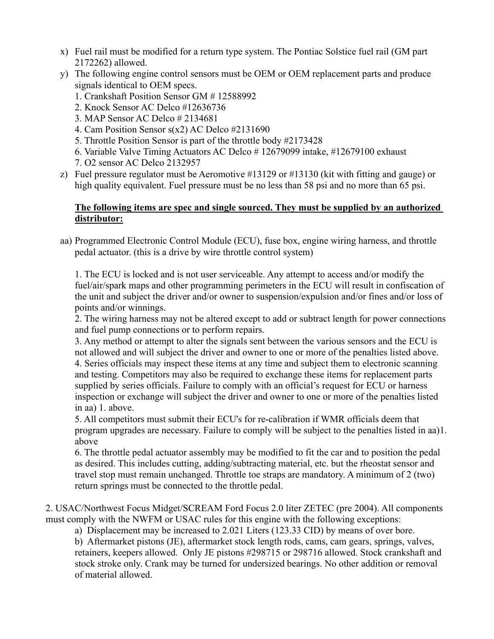- x) Fuel rail must be modified for a return type system. The Pontiac Solstice fuel rail (GM part 2172262) allowed.
- y) The following engine control sensors must be OEM or OEM replacement parts and produce signals identical to OEM specs.
	- 1. Crankshaft Position Sensor GM # 12588992
	- 2. Knock Sensor AC Delco #12636736
	- 3. MAP Sensor AC Delco # 2134681
	- 4. Cam Position Sensor s(x2) AC Delco #2131690
	- 5. Throttle Position Sensor is part of the throttle body #2173428
	- 6. Variable Valve Timing Actuators AC Delco # 12679099 intake, #12679100 exhaust
	- 7. O2 sensor AC Delco 2132957
- z) Fuel pressure regulator must be Aeromotive #13129 or #13130 (kit with fitting and gauge) or high quality equivalent. Fuel pressure must be no less than 58 psi and no more than 65 psi.

### **The following items are spec and single sourced. They must be supplied by an authorized distributor:**

aa) Programmed Electronic Control Module (ECU), fuse box, engine wiring harness, and throttle pedal actuator. (this is a drive by wire throttle control system)

1. The ECU is locked and is not user serviceable. Any attempt to access and/or modify the fuel/air/spark maps and other programming perimeters in the ECU will result in confiscation of the unit and subject the driver and/or owner to suspension/expulsion and/or fines and/or loss of points and/or winnings.

2. The wiring harness may not be altered except to add or subtract length for power connections and fuel pump connections or to perform repairs.

3. Any method or attempt to alter the signals sent between the various sensors and the ECU is not allowed and will subject the driver and owner to one or more of the penalties listed above. 4. Series officials may inspect these items at any time and subject them to electronic scanning and testing. Competitors may also be required to exchange these items for replacement parts supplied by series officials. Failure to comply with an official's request for ECU or harness inspection or exchange will subject the driver and owner to one or more of the penalties listed in aa) 1. above.

5. All competitors must submit their ECU's for re-calibration if WMR officials deem that program upgrades are necessary. Failure to comply will be subject to the penalties listed in aa)1. above

6. The throttle pedal actuator assembly may be modified to fit the car and to position the pedal as desired. This includes cutting, adding/subtracting material, etc. but the rheostat sensor and travel stop must remain unchanged. Throttle toe straps are mandatory. A minimum of 2 (two) return springs must be connected to the throttle pedal.

2. USAC/Northwest Focus Midget/SCREAM Ford Focus 2.0 liter ZETEC (pre 2004). All components must comply with the NWFM or USAC rules for this engine with the following exceptions:

a) Displacement may be increased to 2.021 Liters (123.33 CID) by means of over bore.

b) Aftermarket pistons (JE), aftermarket stock length rods, cams, cam gears, springs, valves, retainers, keepers allowed. Only JE pistons #298715 or 298716 allowed. Stock crankshaft and stock stroke only. Crank may be turned for undersized bearings. No other addition or removal of material allowed.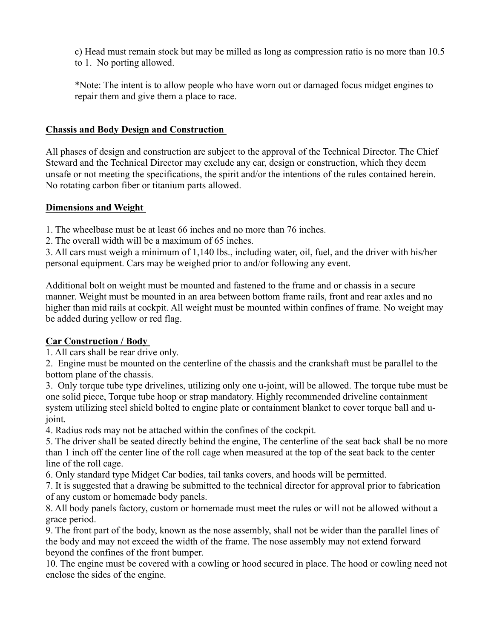c) Head must remain stock but may be milled as long as compression ratio is no more than 10.5 to 1. No porting allowed.

\*Note: The intent is to allow people who have worn out or damaged focus midget engines to repair them and give them a place to race.

### **Chassis and Body Design and Construction**

All phases of design and construction are subject to the approval of the Technical Director. The Chief Steward and the Technical Director may exclude any car, design or construction, which they deem unsafe or not meeting the specifications, the spirit and/or the intentions of the rules contained herein. No rotating carbon fiber or titanium parts allowed.

### **Dimensions and Weight**

1. The wheelbase must be at least 66 inches and no more than 76 inches.

2. The overall width will be a maximum of 65 inches.

3. All cars must weigh a minimum of 1,140 lbs., including water, oil, fuel, and the driver with his/her personal equipment. Cars may be weighed prior to and/or following any event.

Additional bolt on weight must be mounted and fastened to the frame and or chassis in a secure manner. Weight must be mounted in an area between bottom frame rails, front and rear axles and no higher than mid rails at cockpit. All weight must be mounted within confines of frame. No weight may be added during yellow or red flag.

### **Car Construction / Body**

1. All cars shall be rear drive only.

2. Engine must be mounted on the centerline of the chassis and the crankshaft must be parallel to the bottom plane of the chassis.

3. Only torque tube type drivelines, utilizing only one u-joint, will be allowed. The torque tube must be one solid piece, Torque tube hoop or strap mandatory. Highly recommended driveline containment system utilizing steel shield bolted to engine plate or containment blanket to cover torque ball and ujoint.

4. Radius rods may not be attached within the confines of the cockpit.

5. The driver shall be seated directly behind the engine, The centerline of the seat back shall be no more than 1 inch off the center line of the roll cage when measured at the top of the seat back to the center line of the roll cage.

6. Only standard type Midget Car bodies, tail tanks covers, and hoods will be permitted.

7. It is suggested that a drawing be submitted to the technical director for approval prior to fabrication of any custom or homemade body panels.

8. All body panels factory, custom or homemade must meet the rules or will not be allowed without a grace period.

9. The front part of the body, known as the nose assembly, shall not be wider than the parallel lines of the body and may not exceed the width of the frame. The nose assembly may not extend forward beyond the confines of the front bumper.

10. The engine must be covered with a cowling or hood secured in place. The hood or cowling need not enclose the sides of the engine.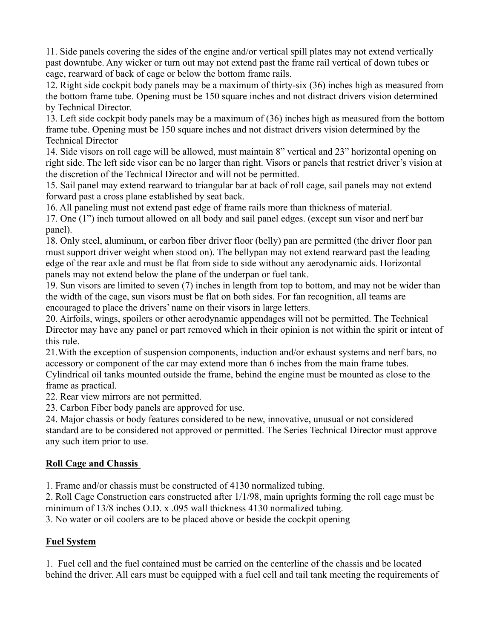11. Side panels covering the sides of the engine and/or vertical spill plates may not extend vertically past downtube. Any wicker or turn out may not extend past the frame rail vertical of down tubes or cage, rearward of back of cage or below the bottom frame rails.

12. Right side cockpit body panels may be a maximum of thirty-six (36) inches high as measured from the bottom frame tube. Opening must be 150 square inches and not distract drivers vision determined by Technical Director.

13. Left side cockpit body panels may be a maximum of (36) inches high as measured from the bottom frame tube. Opening must be 150 square inches and not distract drivers vision determined by the Technical Director

14. Side visors on roll cage will be allowed, must maintain 8" vertical and 23" horizontal opening on right side. The left side visor can be no larger than right. Visors or panels that restrict driver's vision at the discretion of the Technical Director and will not be permitted.

15. Sail panel may extend rearward to triangular bar at back of roll cage, sail panels may not extend forward past a cross plane established by seat back.

16. All paneling must not extend past edge of frame rails more than thickness of material.

17. One (1") inch turnout allowed on all body and sail panel edges. (except sun visor and nerf bar panel).

18. Only steel, aluminum, or carbon fiber driver floor (belly) pan are permitted (the driver floor pan must support driver weight when stood on). The bellypan may not extend rearward past the leading edge of the rear axle and must be flat from side to side without any aerodynamic aids. Horizontal panels may not extend below the plane of the underpan or fuel tank.

19. Sun visors are limited to seven (7) inches in length from top to bottom, and may not be wider than the width of the cage, sun visors must be flat on both sides. For fan recognition, all teams are encouraged to place the drivers' name on their visors in large letters.

20. Airfoils, wings, spoilers or other aerodynamic appendages will not be permitted. The Technical Director may have any panel or part removed which in their opinion is not within the spirit or intent of this rule.

21.With the exception of suspension components, induction and/or exhaust systems and nerf bars, no accessory or component of the car may extend more than 6 inches from the main frame tubes.

Cylindrical oil tanks mounted outside the frame, behind the engine must be mounted as close to the frame as practical.

22. Rear view mirrors are not permitted.

23. Carbon Fiber body panels are approved for use.

24. Major chassis or body features considered to be new, innovative, unusual or not considered standard are to be considered not approved or permitted. The Series Technical Director must approve any such item prior to use.

### **Roll Cage and Chassis**

1. Frame and/or chassis must be constructed of 4130 normalized tubing.

2. Roll Cage Construction cars constructed after 1/1/98, main uprights forming the roll cage must be minimum of 13/8 inches O.D. x .095 wall thickness 4130 normalized tubing.

3. No water or oil coolers are to be placed above or beside the cockpit opening

## **Fuel System**

1. Fuel cell and the fuel contained must be carried on the centerline of the chassis and be located behind the driver. All cars must be equipped with a fuel cell and tail tank meeting the requirements of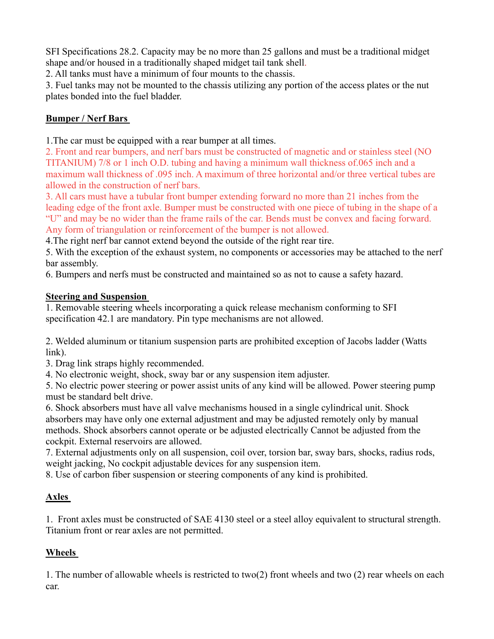SFI Specifications 28.2. Capacity may be no more than 25 gallons and must be a traditional midget shape and/or housed in a traditionally shaped midget tail tank shell.

2. All tanks must have a minimum of four mounts to the chassis.

3. Fuel tanks may not be mounted to the chassis utilizing any portion of the access plates or the nut plates bonded into the fuel bladder.

## **Bumper / Nerf Bars**

1.The car must be equipped with a rear bumper at all times.

2. Front and rear bumpers, and nerf bars must be constructed of magnetic and or stainless steel (NO TITANIUM) 7/8 or 1 inch O.D. tubing and having a minimum wall thickness of.065 inch and a maximum wall thickness of .095 inch. A maximum of three horizontal and/or three vertical tubes are allowed in the construction of nerf bars.

3. All cars must have a tubular front bumper extending forward no more than 21 inches from the leading edge of the front axle. Bumper must be constructed with one piece of tubing in the shape of a "U" and may be no wider than the frame rails of the car. Bends must be convex and facing forward. Any form of triangulation or reinforcement of the bumper is not allowed.

4.The right nerf bar cannot extend beyond the outside of the right rear tire.

5. With the exception of the exhaust system, no components or accessories may be attached to the nerf bar assembly.

6. Bumpers and nerfs must be constructed and maintained so as not to cause a safety hazard.

### **Steering and Suspension**

1. Removable steering wheels incorporating a quick release mechanism conforming to SFI specification 42.1 are mandatory. Pin type mechanisms are not allowed.

2. Welded aluminum or titanium suspension parts are prohibited exception of Jacobs ladder (Watts link).

3. Drag link straps highly recommended.

4. No electronic weight, shock, sway bar or any suspension item adjuster.

5. No electric power steering or power assist units of any kind will be allowed. Power steering pump must be standard belt drive.

6. Shock absorbers must have all valve mechanisms housed in a single cylindrical unit. Shock absorbers may have only one external adjustment and may be adjusted remotely only by manual methods. Shock absorbers cannot operate or be adjusted electrically Cannot be adjusted from the cockpit. External reservoirs are allowed.

7. External adjustments only on all suspension, coil over, torsion bar, sway bars, shocks, radius rods, weight jacking, No cockpit adjustable devices for any suspension item.

8. Use of carbon fiber suspension or steering components of any kind is prohibited.

# **Axles**

1. Front axles must be constructed of SAE 4130 steel or a steel alloy equivalent to structural strength. Titanium front or rear axles are not permitted.

# **Wheels**

1. The number of allowable wheels is restricted to two(2) front wheels and two (2) rear wheels on each car.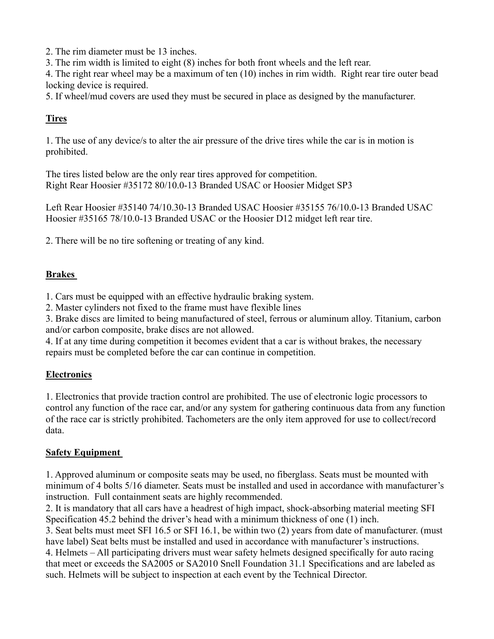2. The rim diameter must be 13 inches.

3. The rim width is limited to eight (8) inches for both front wheels and the left rear.

4. The right rear wheel may be a maximum of ten (10) inches in rim width. Right rear tire outer bead locking device is required.

5. If wheel/mud covers are used they must be secured in place as designed by the manufacturer.

## **Tires**

1. The use of any device/s to alter the air pressure of the drive tires while the car is in motion is prohibited.

The tires listed below are the only rear tires approved for competition. Right Rear Hoosier #35172 80/10.0-13 Branded USAC or Hoosier Midget SP3

Left Rear Hoosier #35140 74/10.30-13 Branded USAC Hoosier #35155 76/10.0-13 Branded USAC Hoosier #35165 78/10.0-13 Branded USAC or the Hoosier D12 midget left rear tire.

2. There will be no tire softening or treating of any kind.

### **Brakes**

1. Cars must be equipped with an effective hydraulic braking system.

2. Master cylinders not fixed to the frame must have flexible lines

3. Brake discs are limited to being manufactured of steel, ferrous or aluminum alloy. Titanium, carbon and/or carbon composite, brake discs are not allowed.

4. If at any time during competition it becomes evident that a car is without brakes, the necessary repairs must be completed before the car can continue in competition.

### **Electronics**

1. Electronics that provide traction control are prohibited. The use of electronic logic processors to control any function of the race car, and/or any system for gathering continuous data from any function of the race car is strictly prohibited. Tachometers are the only item approved for use to collect/record data.

### **Safety Equipment**

1. Approved aluminum or composite seats may be used, no fiberglass. Seats must be mounted with minimum of 4 bolts 5/16 diameter. Seats must be installed and used in accordance with manufacturer's instruction. Full containment seats are highly recommended.

2. It is mandatory that all cars have a headrest of high impact, shock-absorbing material meeting SFI Specification 45.2 behind the driver's head with a minimum thickness of one (1) inch.

3. Seat belts must meet SFI 16.5 or SFI 16.1, be within two (2) years from date of manufacturer. (must have label) Seat belts must be installed and used in accordance with manufacturer's instructions. 4. Helmets – All participating drivers must wear safety helmets designed specifically for auto racing that meet or exceeds the SA2005 or SA2010 Snell Foundation 31.1 Specifications and are labeled as such. Helmets will be subject to inspection at each event by the Technical Director.